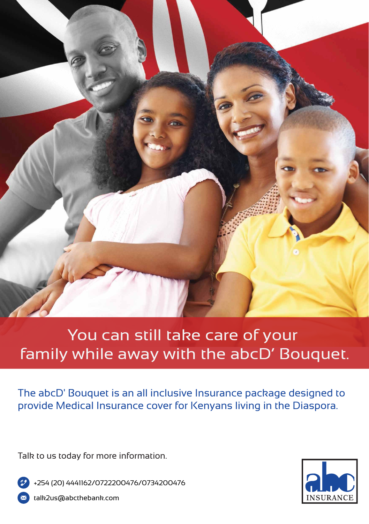

# You can still take care of your family while away with the abcD' Bouquet.

The abcD' Bouquet is an all inclusive Insurance package designed to provide Medical Insurance cover for Kenyans living in the Diaspora.

Talk to us today for more information.

+254 (20) 4441162/0722200476/0734200476 talk2us@abcthebank.com

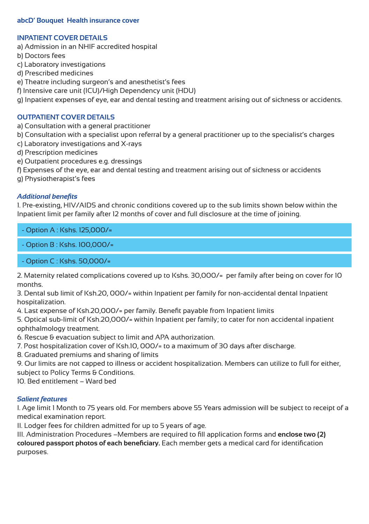#### **abcD' Bouquet Health insurance cover**

#### **INPATIENT COVER DETAILS**

- a) Admission in an NHIF accredited hospital
- b) Doctors fees
- c) Laboratory investigations
- d) Prescribed medicines
- e) Theatre including surgeon's and anesthetist's fees
- f) Intensive care unit (ICU)/High Dependency unit (HDU)
- g) Inpatient expenses of eye, ear and dental testing and treatment arising out of sickness or accidents.

#### **OUTPATIENT COVER DETAILS**

- a) Consultation with a general practitioner
- b) Consultation with a specialist upon referral by a general practitioner up to the specialist's charges
- c) Laboratory investigations and X-rays
- d) Prescription medicines
- e) Outpatient procedures e.g. dressings
- f) Expenses of the eye, ear and dental testing and treatment arising out of sickness or accidents
- g) Physiotherapist's fees

#### *Additional benefits*

1. Pre-existing, HIV/AIDS and chronic conditions covered up to the sub limits shown below within the Inpatient limit per family after 12 months of cover and full disclosure at the time of joining.

- Option A : Kshs. 125,000/=

- Option B : Kshs. 100,000/=
- Option C : Kshs. 50,000/=

2. Maternity related complications covered up to Kshs. 30,000/= per family after being on cover for 10 months.

3. Dental sub limit of Ksh.20, 000/= within Inpatient per family for non-accidental dental Inpatient hospitalization.

4. Last expense of Ksh.20,000/= per family. Benefit payable from Inpatient limits

5. Optical sub-limit of Ksh.20,000/= within Inpatient per family; to cater for non accidental inpatient ophthalmology treatment.

6. Rescue & evacuation subject to limit and APA authorization.

7. Post hospitalization cover of Ksh.10, 000/= to a maximum of 30 days after discharge.

8. Graduated premiums and sharing of limits

9. Our limits are not capped to illness or accident hospitalization. Members can utilize to full for either, subject to Policy Terms & Conditions.

10. Bed entitlement – Ward bed

#### *Salient features*

I. Age limit 1 Month to 75 years old. For members above 55 Years admission will be subject to receipt of a medical examination report.

II. Lodger fees for children admitted for up to 5 years of age.

III. Administration Procedures –Members are required to fill application forms and **enclose two (2) coloured passport photos of each beneficiary.** Each member gets a medical card for identification purposes.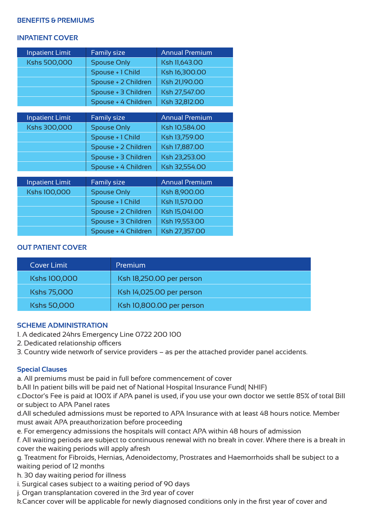#### **BENEFITS & PREMIUMS**

#### **INPATIENT COVER**

| <b>Inpatient Limit</b> | <b>Family size</b>  | <b>Annual Premium</b> |
|------------------------|---------------------|-----------------------|
| Kshs 500,000           | <b>Spouse Only</b>  | Ksh 11,643.00         |
|                        | Spouse + 1 Child    | Ksh 16,300.00         |
|                        | Spouse + 2 Children | Ksh 21,190.00         |
|                        | Spouse + 3 Children | Ksh 27,547.00         |
|                        | Spouse + 4 Children | Ksh 32,812.00         |
|                        |                     |                       |
| <b>Inpatient Limit</b> | Family size         | <b>Annual Premium</b> |
| Kshs 300,000           | <b>Spouse Only</b>  | Ksh 10,584.00         |
|                        | Spouse + 1 Child    | Ksh 13,759.00         |
|                        | Spouse + 2 Children | Ksh 17,887.00         |
|                        | Spouse + 3 Children | Ksh 23,253.00         |
|                        | Spouse + 4 Children | Ksh 32,554.00         |
|                        |                     |                       |
| <b>Inpatient Limit</b> | <b>Family size</b>  | <b>Annual Premium</b> |
| Kshs 100,000           | <b>Spouse Only</b>  | Ksh 8,900.00          |
|                        | Spouse + 1 Child    | Ksh 11,570.00         |
|                        | Spouse + 2 Children | Ksh 15,041.00         |
|                        | Spouse + 3 Children | Ksh 19,553.00         |
|                        | Spouse + 4 Children | Ksh 27,357.00         |

## **OUT PATIENT COVER**

| Cover Limit        | Premium                  |
|--------------------|--------------------------|
| Kshs 100,000       | Ksh 18,250.00 per person |
| Kshs 75,000        | Ksh 14,025.00 per person |
| <b>Kshs 50,000</b> | Ksh 10,800.00 per person |

#### **SCHEME ADMINISTRATION**

- 1. A dedicated 24hrs Emergency Line 0722 200 100
- 2. Dedicated relationship officers
- 3. Country wide network of service providers as per the attached provider panel accidents.

## **Special Clauses**

a. All premiums must be paid in full before commencement of cover

b.All In patient bills will be paid net of National Hospital Insurance Fund( NHIF)

c.Doctor's Fee is paid at 100% if APA panel is used, if you use your own doctor we settle 85% of total Bill or subject to APA Panel rates

d.All scheduled admissions must be reported to APA Insurance with at least 48 hours notice. Member must await APA preauthorization before proceeding

e. For emergency admissions the hospitals will contact APA within 48 hours of admission

f. All waiting periods are subject to continuous renewal with no break in cover. Where there is a break in cover the waiting periods will apply afresh

g. Treatment for Fibroids, Hernias, Adenoidectomy, Prostrates and Haemorrhoids shall be subject to a waiting period of 12 months

h. 30 day waiting period for illness

i. Surgical cases subject to a waiting period of 90 days

j. Organ transplantation covered in the 3rd year of cover

k.Cancer cover will be applicable for newly diagnosed conditions only in the first year of cover and